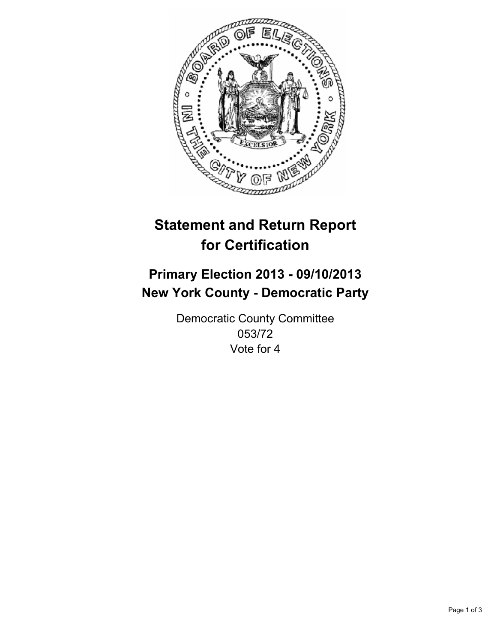

# **Statement and Return Report for Certification**

# **Primary Election 2013 - 09/10/2013 New York County - Democratic Party**

Democratic County Committee 053/72 Vote for 4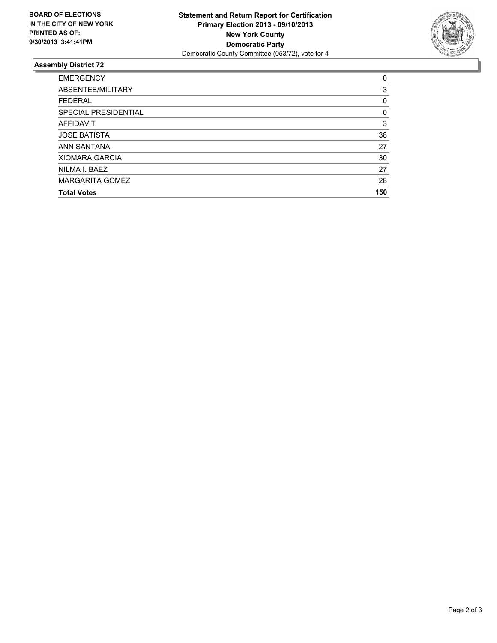

## **Assembly District 72**

| <b>EMERGENCY</b>            | 0   |
|-----------------------------|-----|
| ABSENTEE/MILITARY           | 3   |
| <b>FEDERAL</b>              | 0   |
| <b>SPECIAL PRESIDENTIAL</b> | 0   |
| <b>AFFIDAVIT</b>            | 3   |
| <b>JOSE BATISTA</b>         | 38  |
| ANN SANTANA                 | 27  |
| <b>XIOMARA GARCIA</b>       | 30  |
| NILMA I. BAEZ               | 27  |
| <b>MARGARITA GOMEZ</b>      | 28  |
| <b>Total Votes</b>          | 150 |